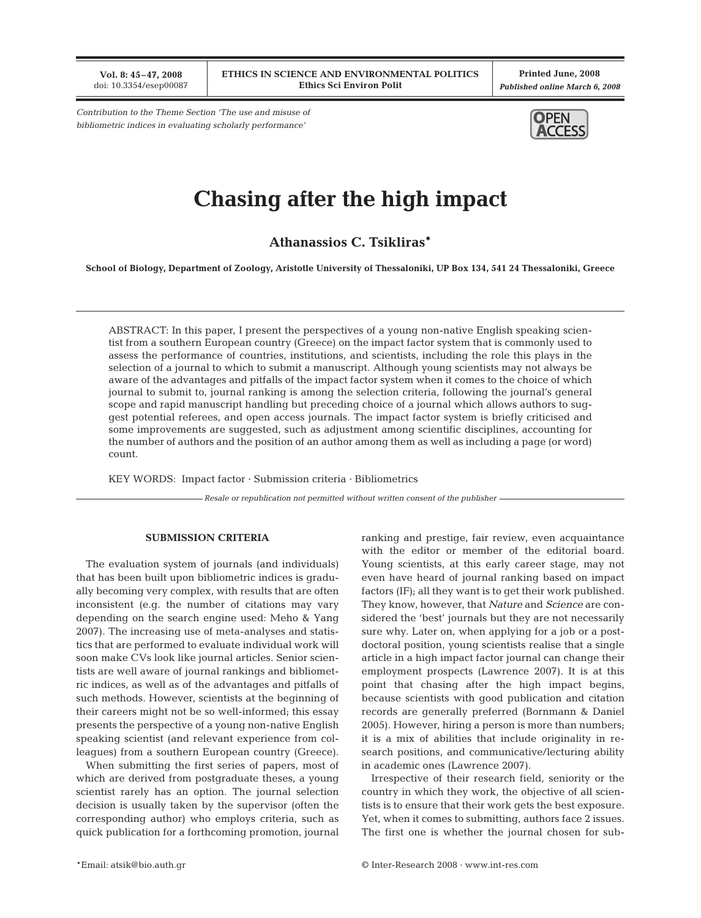**Vol. 8: 45–47, 2008** doi: 10.3354/esep00087

**Printed June, 2008** *Published online March 6, 2008*

*Contribution to the Theme Section 'The use and misuse of bibliometric indices in evaluating scholarly performance'*



## **Chasing after the high impact**

**Athanassios C. Tsikliras\***

**School of Biology, Department of Zoology, Aristotle University of Thessaloniki, UP Box 134, 541 24 Thessaloniki, Greece**

ABSTRACT: In this paper, I present the perspectives of a young non-native English speaking scientist from a southern European country (Greece) on the impact factor system that is commonly used to assess the performance of countries, institutions, and scientists, including the role this plays in the selection of a journal to which to submit a manuscript. Although young scientists may not always be aware of the advantages and pitfalls of the impact factor system when it comes to the choice of which journal to submit to, journal ranking is among the selection criteria, following the journal's general scope and rapid manuscript handling but preceding choice of a journal which allows authors to suggest potential referees, and open access journals. The impact factor system is briefly criticised and some improvements are suggested, such as adjustment among scientific disciplines, accounting for the number of authors and the position of an author among them as well as including a page (or word) count.

KEY WORDS: Impact factor · Submission criteria · Bibliometrics

*Resale or republication not permitted without written consent of the publisher*

## **SUBMISSION CRITERIA**

The evaluation system of journals (and individuals) that has been built upon bibliometric indices is gradually becoming very complex, with results that are often inconsistent (e.g. the number of citations may vary depending on the search engine used: Meho & Yang 2007). The increasing use of meta-analyses and statistics that are performed to evaluate individual work will soon make CVs look like journal articles. Senior scientists are well aware of journal rankings and bibliometric indices, as well as of the advantages and pitfalls of such methods. However, scientists at the beginning of their careers might not be so well-informed; this essay presents the perspective of a young non-native English speaking scientist (and relevant experience from colleagues) from a southern European country (Greece).

When submitting the first series of papers, most of which are derived from postgraduate theses, a young scientist rarely has an option. The journal selection decision is usually taken by the supervisor (often the corresponding author) who employs criteria, such as quick publication for a forthcoming promotion, journal ranking and prestige, fair review, even acquaintance with the editor or member of the editorial board. Young scientists, at this early career stage, may not even have heard of journal ranking based on impact factors (IF); all they want is to get their work published. They know, however, that *Nature* and *Science* are considered the 'best' journals but they are not necessarily sure why. Later on, when applying for a job or a postdoctoral position, young scientists realise that a single article in a high impact factor journal can change their employment prospects (Lawrence 2007). It is at this point that chasing after the high impact begins, because scientists with good publication and citation records are generally preferred (Bornmann & Daniel 2005). However, hiring a person is more than numbers; it is a mix of abilities that include originality in research positions, and communicative/lecturing ability in academic ones (Lawrence 2007).

Irrespective of their research field, seniority or the country in which they work, the objective of all scientists is to ensure that their work gets the best exposure. Yet, when it comes to submitting, authors face 2 issues. The first one is whether the journal chosen for sub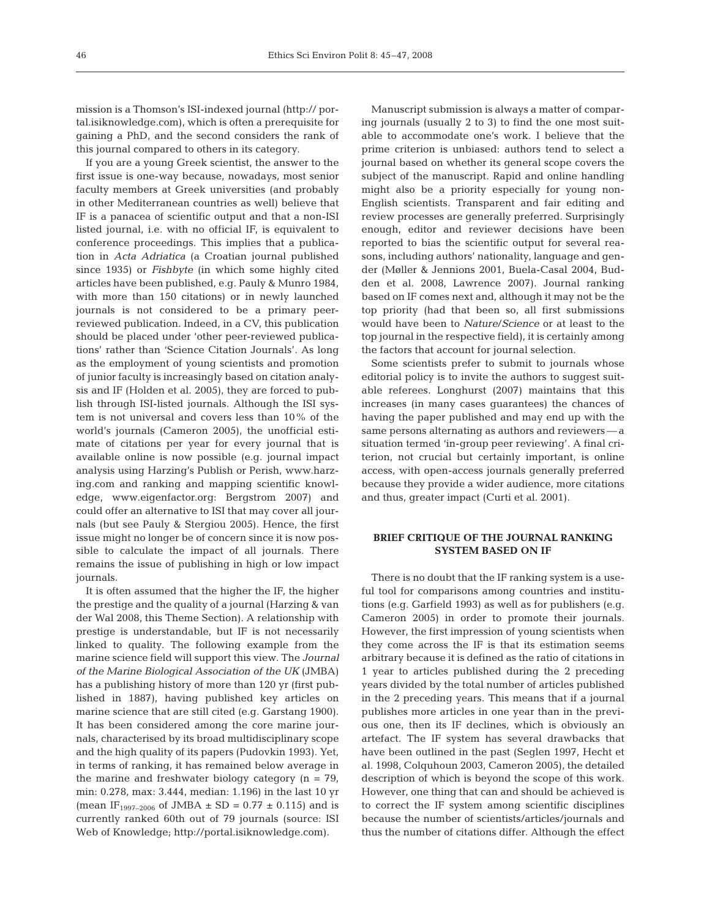mission is a Thomson's ISI-indexed journal (http:// portal.isiknowledge.com), which is often a prerequisite for gaining a PhD, and the second considers the rank of this journal compared to others in its category.

If you are a young Greek scientist, the answer to the first issue is one-way because, nowadays, most senior faculty members at Greek universities (and probably in other Mediterranean countries as well) believe that IF is a panacea of scientific output and that a non-ISI listed journal, i.e. with no official IF, is equivalent to conference proceedings. This implies that a publication in *Acta Adriatica* (a Croatian journal published since 1935) or *Fishbyte* (in which some highly cited articles have been published, e.g. Pauly & Munro 1984, with more than 150 citations) or in newly launched journals is not considered to be a primary peerreviewed publication. Indeed, in a CV, this publication should be placed under 'other peer-reviewed publications' rather than 'Science Citation Journals'. As long as the employment of young scientists and promotion of junior faculty is increasingly based on citation analysis and IF (Holden et al. 2005), they are forced to publish through ISI-listed journals. Although the ISI system is not universal and covers less than 10% of the world's journals (Cameron 2005), the unofficial estimate of citations per year for every journal that is available online is now possible (e.g. journal impact analysis using Harzing's Publish or Perish, www.harzing.com and ranking and mapping scientific knowledge, www.eigenfactor.org: Bergstrom 2007) and could offer an alternative to ISI that may cover all journals (but see Pauly & Stergiou 2005). Hence, the first issue might no longer be of concern since it is now possible to calculate the impact of all journals. There remains the issue of publishing in high or low impact journals.

It is often assumed that the higher the IF, the higher the prestige and the quality of a journal (Harzing & van der Wal 2008, this Theme Section). A relationship with prestige is understandable, but IF is not necessarily linked to quality. The following example from the marine science field will support this view. The *Journal of the Marine Biological Association of the UK* (JMBA) has a publishing history of more than 120 yr (first published in 1887), having published key articles on marine science that are still cited (e.g. Garstang 1900). It has been considered among the core marine journals, characterised by its broad multidisciplinary scope and the high quality of its papers (Pudovkin 1993). Yet, in terms of ranking, it has remained below average in the marine and freshwater biology category  $(n = 79)$ , min: 0.278, max: 3.444, median: 1.196) in the last 10 yr (mean IF<sub>1997–2006</sub> of JMBA  $\pm$  SD = 0.77  $\pm$  0.115) and is currently ranked 60th out of 79 journals (source: ISI Web of Knowledge; http://portal.isiknowledge.com).

Manuscript submission is always a matter of comparing journals (usually 2 to 3) to find the one most suitable to accommodate one's work. I believe that the prime criterion is unbiased: authors tend to select a journal based on whether its general scope covers the subject of the manuscript. Rapid and online handling might also be a priority especially for young non-English scientists. Transparent and fair editing and review processes are generally preferred. Surprisingly enough, editor and reviewer decisions have been reported to bias the scientific output for several reasons, including authors' nationality, language and gender (Møller & Jennions 2001, Buela-Casal 2004, Budden et al. 2008, Lawrence 2007). Journal ranking based on IF comes next and, although it may not be the top priority (had that been so, all first submissions would have been to *Nature*/*Science* or at least to the top journal in the respective field), it is certainly among the factors that account for journal selection.

Some scientists prefer to submit to journals whose editorial policy is to invite the authors to suggest suitable referees. Longhurst (2007) maintains that this increases (in many cases guarantees) the chances of having the paper published and may end up with the same persons alternating as authors and reviewers — a situation termed 'in-group peer reviewing'. A final criterion, not crucial but certainly important, is online access, with open-access journals generally preferred because they provide a wider audience, more citations and thus, greater impact (Curti et al. 2001).

## **BRIEF CRITIQUE OF THE JOURNAL RANKING SYSTEM BASED ON IF**

There is no doubt that the IF ranking system is a useful tool for comparisons among countries and institutions (e.g. Garfield 1993) as well as for publishers (e.g. Cameron 2005) in order to promote their journals. However, the first impression of young scientists when they come across the IF is that its estimation seems arbitrary because it is defined as the ratio of citations in 1 year to articles published during the 2 preceding years divided by the total number of articles published in the 2 preceding years. This means that if a journal publishes more articles in one year than in the previous one, then its IF declines, which is obviously an artefact. The IF system has several drawbacks that have been outlined in the past (Seglen 1997, Hecht et al. 1998, Colquhoun 2003, Cameron 2005), the detailed description of which is beyond the scope of this work. However, one thing that can and should be achieved is to correct the IF system among scientific disciplines because the number of scientists/articles/journals and thus the number of citations differ. Although the effect